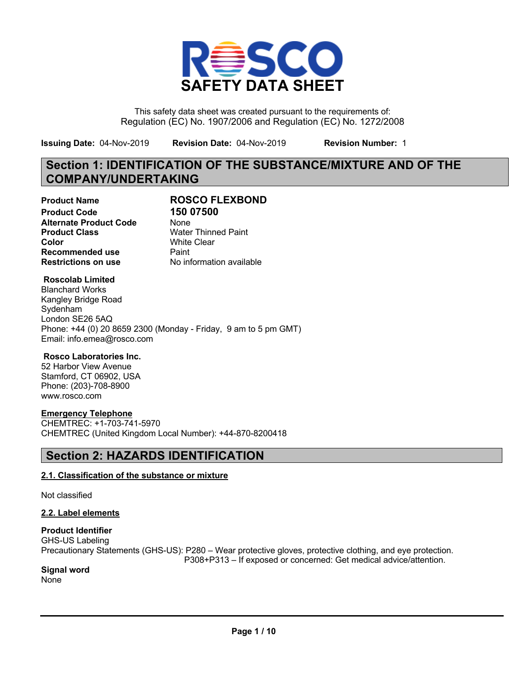

This safety data sheet was created pursuant to the requirements of: Regulation (EC) No. 1907/2006 and Regulation (EC) No. 1272/2008

**Issuing Date:** 04-Nov-2019 **Revision Date:** 04-Nov-2019 **Revision Number:** 1

## **Section 1: IDENTIFICATION OF THE SUBSTANCE/MIXTURE AND OF THE COMPANY/UNDERTAKING**

**Product Code 150 07500 Alternate Product Code** None **Product Class** Water Thinned Paint **Color** White Clear **Recommended use** Paint

# **Product Name ROSCO FLEXBOND**

**Restrictions on use** No information available

#### **Roscolab Limited**

Blanchard Works Kangley Bridge Road Sydenham London SE26 5AQ Phone: +44 (0) 20 8659 2300 (Monday - Friday, 9 am to 5 pm GMT) Email: info.emea@rosco.com

#### **Rosco Laboratories Inc.**

52 Harbor View Avenue Stamford, CT 06902, USA Phone: (203)-708-8900 www.rosco.com

#### **Emergency Telephone**

CHEMTREC: +1-703-741-5970 CHEMTREC (United Kingdom Local Number): +44-870-8200418

## **Section 2: HAZARDS IDENTIFICATION**

### **2.1. Classification of the substance or mixture**

Not classified

#### **2.2. Label elements**

#### **Product Identifier**

GHS-US Labeling Precautionary Statements (GHS-US): P280 – Wear protective gloves, protective clothing, and eye protection. P308+P313 – If exposed or concerned: Get medical advice/attention.

#### **Signal word**

None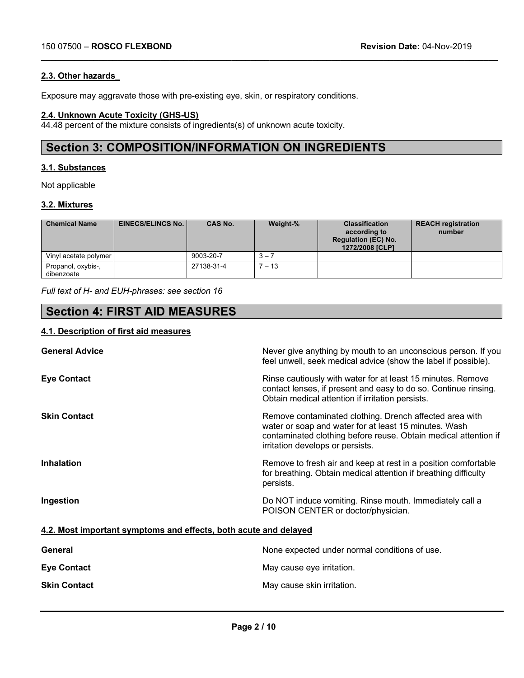#### **2.3. Other hazards\_**

Exposure may aggravate those with pre-existing eye, skin, or respiratory conditions.

#### **2.4. Unknown Acute Toxicity (GHS-US)**

44.48 percent of the mixture consists of ingredients(s) of unknown acute toxicity.

## **Section 3: COMPOSITION/INFORMATION ON INGREDIENTS**

#### **3.1. Substances**

Not applicable

#### **3.2. Mixtures**

| <b>Chemical Name</b>             | <b>EINECS/ELINCS No. I</b> | CAS No.    | Weight-% | <b>Classification</b><br>according to<br><b>Regulation (EC) No.</b><br>1272/2008 [CLP] | <b>REACH registration</b><br>number |
|----------------------------------|----------------------------|------------|----------|----------------------------------------------------------------------------------------|-------------------------------------|
| Vinyl acetate polymer            |                            | 9003-20-7  | $3 - 3$  |                                                                                        |                                     |
| Propanol, oxybis-,<br>dibenzoate |                            | 27138-31-4 | $7 - 13$ |                                                                                        |                                     |

**\_\_\_\_\_\_\_\_\_\_\_\_\_\_\_\_\_\_\_\_\_\_\_\_\_\_\_\_\_\_\_\_\_\_\_\_\_\_\_\_\_\_\_\_\_\_\_\_\_\_\_\_\_\_\_\_\_\_\_\_\_\_\_\_\_\_\_\_\_\_\_\_\_\_\_\_\_\_\_\_\_\_\_\_\_\_\_\_\_\_\_\_\_\_\_\_**

*Full text of H- and EUH-phrases: see section 16*

## **Section 4: FIRST AID MEASURES**

#### **4.1. Description of first aid measures**

| <b>General Advice</b>                                            | Never give anything by mouth to an unconscious person. If you<br>feel unwell, seek medical advice (show the label if possible).                                                                                         |
|------------------------------------------------------------------|-------------------------------------------------------------------------------------------------------------------------------------------------------------------------------------------------------------------------|
| <b>Eye Contact</b>                                               | Rinse cautiously with water for at least 15 minutes. Remove<br>contact lenses, if present and easy to do so. Continue rinsing.<br>Obtain medical attention if irritation persists.                                      |
| <b>Skin Contact</b>                                              | Remove contaminated clothing. Drench affected area with<br>water or soap and water for at least 15 minutes. Wash<br>contaminated clothing before reuse. Obtain medical attention if<br>irritation develops or persists. |
| <b>Inhalation</b>                                                | Remove to fresh air and keep at rest in a position comfortable<br>for breathing. Obtain medical attention if breathing difficulty<br>persists.                                                                          |
| Ingestion                                                        | Do NOT induce vomiting. Rinse mouth. Immediately call a<br>POISON CENTER or doctor/physician.                                                                                                                           |
| 4.2. Most important symptoms and effects, both acute and delayed |                                                                                                                                                                                                                         |
| General                                                          | None expected under normal conditions of use.                                                                                                                                                                           |
| <b>Eye Contact</b>                                               | May cause eye irritation.                                                                                                                                                                                               |
| <b>Skin Contact</b>                                              | May cause skin irritation.                                                                                                                                                                                              |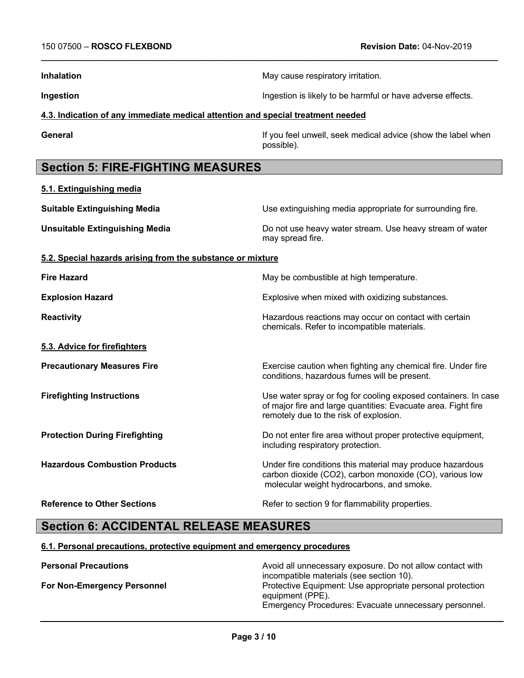**5.1. Extinguishing media**

**Inhalation** May cause respiratory irritation.

**\_\_\_\_\_\_\_\_\_\_\_\_\_\_\_\_\_\_\_\_\_\_\_\_\_\_\_\_\_\_\_\_\_\_\_\_\_\_\_\_\_\_\_\_\_\_\_\_\_\_\_\_\_\_\_\_\_\_\_\_\_\_\_\_\_\_\_\_\_\_\_\_\_\_\_\_\_\_\_\_\_\_\_\_\_\_\_\_\_\_\_\_\_\_\_\_**

**Ingestion Ingestion Ingestion Ingestion Ingestion Ingestion Ingestion Ingestion Ingestion Ingestion Ingestion Ingestion Ingestion Ingestion Industries** 

#### **4.3. Indication of any immediate medical attention and special treatment needed**

**General** General If you feel unwell, seek medical advice (show the label when possible).

## **Section 5: FIRE-FIGHTING MEASURES**

| <b>Suitable Extinguishing Media</b>                        | Use extinguishing media appropriate for surrounding fire.                                                                                                                 |
|------------------------------------------------------------|---------------------------------------------------------------------------------------------------------------------------------------------------------------------------|
| <b>Unsuitable Extinguishing Media</b>                      | Do not use heavy water stream. Use heavy stream of water<br>may spread fire.                                                                                              |
| 5.2. Special hazards arising from the substance or mixture |                                                                                                                                                                           |
| <b>Fire Hazard</b>                                         | May be combustible at high temperature.                                                                                                                                   |
| <b>Explosion Hazard</b>                                    | Explosive when mixed with oxidizing substances.                                                                                                                           |
| <b>Reactivity</b>                                          | Hazardous reactions may occur on contact with certain<br>chemicals. Refer to incompatible materials.                                                                      |
| 5.3. Advice for firefighters                               |                                                                                                                                                                           |
| <b>Precautionary Measures Fire</b>                         | Exercise caution when fighting any chemical fire. Under fire<br>conditions, hazardous fumes will be present.                                                              |
| <b>Firefighting Instructions</b>                           | Use water spray or fog for cooling exposed containers. In case<br>of major fire and large quantities: Evacuate area. Fight fire<br>remotely due to the risk of explosion. |
| <b>Protection During Firefighting</b>                      | Do not enter fire area without proper protective equipment,<br>including respiratory protection.                                                                          |
| <b>Hazardous Combustion Products</b>                       | Under fire conditions this material may produce hazardous<br>carbon dioxide (CO2), carbon monoxide (CO), various low<br>molecular weight hydrocarbons, and smoke.         |
| <b>Reference to Other Sections</b>                         | Refer to section 9 for flammability properties.                                                                                                                           |

## **Section 6: ACCIDENTAL RELEASE MEASURES**

#### **6.1. Personal precautions, protective equipment and emergency procedures**

**Personal Precautions Precautions** Avoid all unnecessary exposure. Do not allow contact with incompatible materials (see section 10). **For Non-Emergency Personnel State Example 20 Frotective Equipment: Use appropriate personal protection** equipment (PPE). Emergency Procedures: Evacuate unnecessary personnel.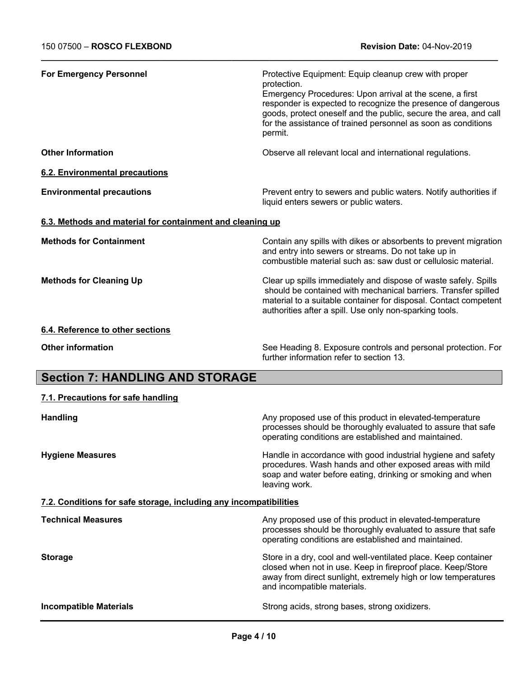| <b>For Emergency Personnel</b>                                    | Protective Equipment: Equip cleanup crew with proper<br>protection.<br>Emergency Procedures: Upon arrival at the scene, a first<br>responder is expected to recognize the presence of dangerous<br>goods, protect oneself and the public, secure the area, and call<br>for the assistance of trained personnel as soon as conditions<br>permit. |
|-------------------------------------------------------------------|-------------------------------------------------------------------------------------------------------------------------------------------------------------------------------------------------------------------------------------------------------------------------------------------------------------------------------------------------|
| <b>Other Information</b>                                          | Observe all relevant local and international regulations.                                                                                                                                                                                                                                                                                       |
| <b>6.2. Environmental precautions</b>                             |                                                                                                                                                                                                                                                                                                                                                 |
| <b>Environmental precautions</b>                                  | Prevent entry to sewers and public waters. Notify authorities if<br>liquid enters sewers or public waters.                                                                                                                                                                                                                                      |
| 6.3. Methods and material for containment and cleaning up         |                                                                                                                                                                                                                                                                                                                                                 |
| <b>Methods for Containment</b>                                    | Contain any spills with dikes or absorbents to prevent migration<br>and entry into sewers or streams. Do not take up in<br>combustible material such as: saw dust or cellulosic material.                                                                                                                                                       |
| <b>Methods for Cleaning Up</b>                                    | Clear up spills immediately and dispose of waste safely. Spills<br>should be contained with mechanical barriers. Transfer spilled<br>material to a suitable container for disposal. Contact competent<br>authorities after a spill. Use only non-sparking tools.                                                                                |
| 6.4. Reference to other sections                                  |                                                                                                                                                                                                                                                                                                                                                 |
| <b>Other information</b>                                          | See Heading 8. Exposure controls and personal protection. For<br>further information refer to section 13.                                                                                                                                                                                                                                       |
| <b>Section 7: HANDLING AND STORAGE</b>                            |                                                                                                                                                                                                                                                                                                                                                 |
| 7.1. Precautions for safe handling                                |                                                                                                                                                                                                                                                                                                                                                 |
| <b>Handling</b>                                                   | Any proposed use of this product in elevated-temperature<br>processes should be thoroughly evaluated to assure that safe<br>operating conditions are established and maintained.                                                                                                                                                                |
| <b>Hygiene Measures</b>                                           | Handle in accordance with good industrial hygiene and safety<br>procedures. Wash hands and other exposed areas with mild<br>soap and water before eating, drinking or smoking and when<br>leaving work.                                                                                                                                         |
| 7.2. Conditions for safe storage, including any incompatibilities |                                                                                                                                                                                                                                                                                                                                                 |
| <b>Technical Measures</b>                                         | Any proposed use of this product in elevated-temperature<br>processes should be thoroughly evaluated to assure that safe<br>operating conditions are established and maintained.                                                                                                                                                                |
| <b>Storage</b>                                                    | Store in a dry, cool and well-ventilated place. Keep container<br>closed when not in use. Keep in fireproof place. Keep/Store                                                                                                                                                                                                                   |

**Incompatible Materials Incompatible Materials Strong acids, strong bases, strong oxidizers.** 

away from direct sunlight, extremely high or low temperatures

and incompatible materials.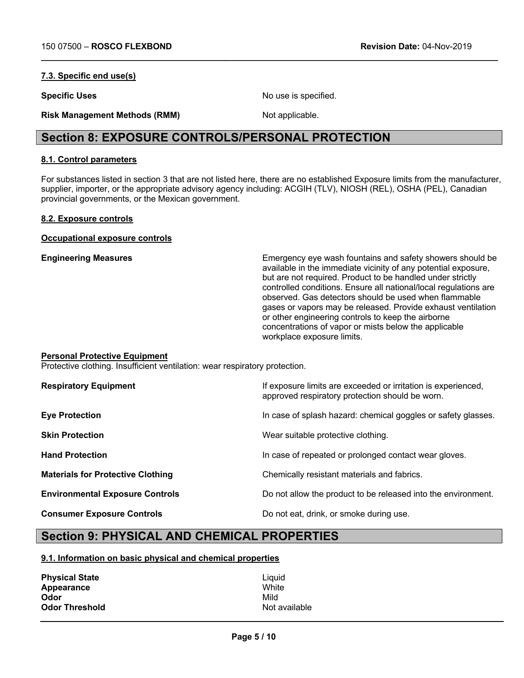#### **7.3. Specific end use(s)**

**Specific Uses** No use is specified.

**Risk Management Methods (RMM)** Not applicable.

## **Section 8: EXPOSURE CONTROLS/PERSONAL PROTECTION**

#### **8.1. Control parameters**

For substances listed in section 3 that are not listed here, there are no established Exposure limits from the manufacturer, supplier, importer, or the appropriate advisory agency including: ACGIH (TLV), NIOSH (REL), OSHA (PEL), Canadian provincial governments, or the Mexican government.

**\_\_\_\_\_\_\_\_\_\_\_\_\_\_\_\_\_\_\_\_\_\_\_\_\_\_\_\_\_\_\_\_\_\_\_\_\_\_\_\_\_\_\_\_\_\_\_\_\_\_\_\_\_\_\_\_\_\_\_\_\_\_\_\_\_\_\_\_\_\_\_\_\_\_\_\_\_\_\_\_\_\_\_\_\_\_\_\_\_\_\_\_\_\_\_\_**

#### **8.2. Exposure controls**

**Occupational exposure controls**

**Engineering Measures** Emergency eye wash fountains and safety showers should be available in the immediate vicinity of any potential exposure, but are not required. Product to be handled under strictly controlled conditions. Ensure all national/local regulations are observed. Gas detectors should be used when flammable gases or vapors may be released. Provide exhaust ventilation or other engineering controls to keep the airborne concentrations of vapor or mists below the applicable workplace exposure limits.

#### **Personal Protective Equipment**

Protective clothing. Insufficient ventilation: wear respiratory protection.

| <b>Respiratory Equipment</b>             | If exposure limits are exceeded or irritation is experienced,<br>approved respiratory protection should be worn. |
|------------------------------------------|------------------------------------------------------------------------------------------------------------------|
| <b>Eye Protection</b>                    | In case of splash hazard: chemical goggles or safety glasses.                                                    |
| <b>Skin Protection</b>                   | Wear suitable protective clothing.                                                                               |
| <b>Hand Protection</b>                   | In case of repeated or prolonged contact wear gloves.                                                            |
| <b>Materials for Protective Clothing</b> | Chemically resistant materials and fabrics.                                                                      |
| <b>Environmental Exposure Controls</b>   | Do not allow the product to be released into the environment.                                                    |
| <b>Consumer Exposure Controls</b>        | Do not eat, drink, or smoke during use.                                                                          |

## **Section 9: PHYSICAL AND CHEMICAL PROPERTIES**

#### **9.1. Information on basic physical and chemical properties**

| <b>Physical State</b> | Liauid        |
|-----------------------|---------------|
| Appearance            | White         |
| Odor                  | Mild          |
| <b>Odor Threshold</b> | Not available |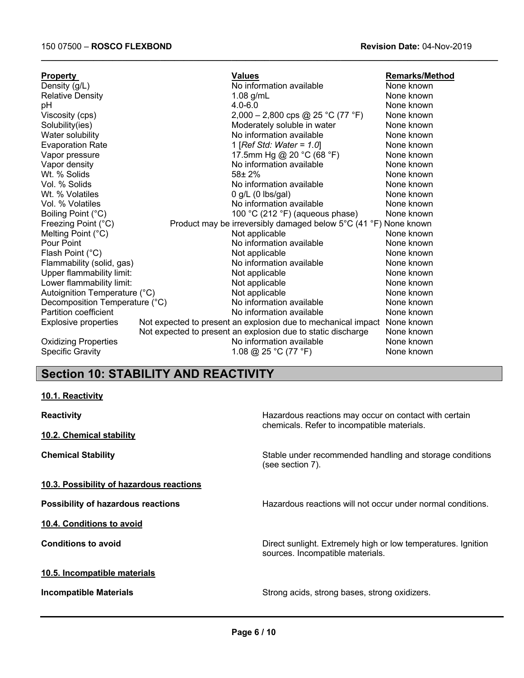| <b>Property</b>                | <b>Values</b>                                                    | <b>Remarks/Method</b> |
|--------------------------------|------------------------------------------------------------------|-----------------------|
| Density (g/L)                  | No information available                                         | None known            |
| <b>Relative Density</b>        | $1.08$ g/mL                                                      | None known            |
| pH                             | $4.0 - 6.0$                                                      | None known            |
| Viscosity (cps)                | 2,000 - 2,800 cps @ 25 °C (77 °F)                                | None known            |
| Solubility(ies)                | Moderately soluble in water                                      | None known            |
| Water solubility               | No information available                                         | None known            |
| <b>Evaporation Rate</b>        | 1 [Ref Std: Water = $1.0$ ]                                      | None known            |
| Vapor pressure                 | 17.5mm Hg @ 20 °C (68 °F)                                        | None known            |
| Vapor density                  | No information available                                         | None known            |
| Wt. % Solids                   | $58 + 2%$                                                        | None known            |
| Vol. % Solids                  | No information available                                         | None known            |
| Wt. % Volatiles                | $0$ g/L (0 lbs/gal)                                              | None known            |
| Vol. % Volatiles               | No information available                                         | None known            |
| Boiling Point (°C)             | 100 °C (212 °F) (aqueous phase)                                  | None known            |
| Freezing Point (°C)            | Product may be irreversibly damaged below 5°C (41 °F) None known |                       |
| Melting Point (°C)             | Not applicable                                                   | None known            |
| Pour Point                     | No information available                                         | None known            |
| Flash Point (°C)               | Not applicable                                                   | None known            |
| Flammability (solid, gas)      | No information available                                         | None known            |
| Upper flammability limit:      | Not applicable                                                   | None known            |
| Lower flammability limit:      | Not applicable                                                   | None known            |
| Autoignition Temperature (°C)  | Not applicable                                                   | None known            |
| Decomposition Temperature (°C) | No information available                                         | None known            |
| Partition coefficient          | No information available                                         | None known            |
| Explosive properties           | Not expected to present an explosion due to mechanical impact    | None known            |
|                                | Not expected to present an explosion due to static discharge     | None known            |
| <b>Oxidizing Properties</b>    | No information available                                         | None known            |
| <b>Specific Gravity</b>        | 1.08 @ 25 °C (77 °F)                                             | None known            |
|                                |                                                                  |                       |

**\_\_\_\_\_\_\_\_\_\_\_\_\_\_\_\_\_\_\_\_\_\_\_\_\_\_\_\_\_\_\_\_\_\_\_\_\_\_\_\_\_\_\_\_\_\_\_\_\_\_\_\_\_\_\_\_\_\_\_\_\_\_\_\_\_\_\_\_\_\_\_\_\_\_\_\_\_\_\_\_\_\_\_\_\_\_\_\_\_\_\_\_\_\_\_\_**

## **Section 10: STABILITY AND REACTIVITY**

#### **10.1. Reactivity**

**10.2. Chemical stability**

**Reactivity Reactivity Hazardous reactions may occur on contact with certain** chemicals. Refer to incompatible materials.

**Chemical Stability Stability** Stable under recommended handling and storage conditions (see section 7).

**Possibility of hazardous reactions Hazardous reactions will not occur under normal conditions.** 

**10.4. Conditions to avoid**

**10.3. Possibility of hazardous reactions**

#### **10.5. Incompatible materials**

**Conditions to avoid Conditions to avoid Direct sunlight.** Extremely high or low temperatures. Ignition sources. Incompatible materials.

**Incompatible Materials Incompatible Materials Strong acids**, strong bases, strong oxidizers.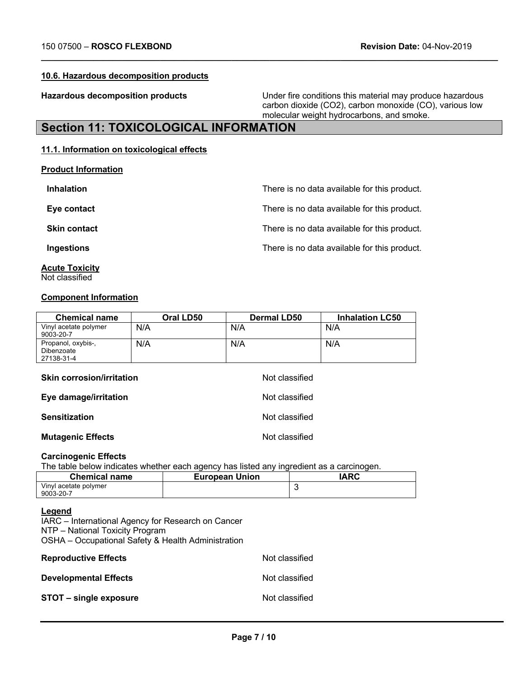#### **10.6. Hazardous decomposition products**

**Hazardous decomposition products** Under fire conditions this material may produce hazardous carbon dioxide (CO2), carbon monoxide (CO), various low molecular weight hydrocarbons, and smoke.

## **Section 11: TOXICOLOGICAL INFORMATION**

#### **11.1. Information on toxicological effects**

**Product Information**

| <b>Inhalation</b>   | There is no data available for this product. |
|---------------------|----------------------------------------------|
| Eye contact         | There is no data available for this product. |
| <b>Skin contact</b> | There is no data available for this product. |
| Ingestions          | There is no data available for this product. |

**\_\_\_\_\_\_\_\_\_\_\_\_\_\_\_\_\_\_\_\_\_\_\_\_\_\_\_\_\_\_\_\_\_\_\_\_\_\_\_\_\_\_\_\_\_\_\_\_\_\_\_\_\_\_\_\_\_\_\_\_\_\_\_\_\_\_\_\_\_\_\_\_\_\_\_\_\_\_\_\_\_\_\_\_\_\_\_\_\_\_\_\_\_\_\_\_**

**Acute Toxicity**  Not classified

#### **Component Information**

| <b>Chemical name</b>                           | Oral LD50 | <b>Dermal LD50</b> | <b>Inhalation LC50</b> |
|------------------------------------------------|-----------|--------------------|------------------------|
| Vinyl acetate polymer<br>9003-20-7             | N/A       | N/A                | N/A                    |
| Propanol, oxybis-,<br>Dibenzoate<br>27138-31-4 | N/A       | N/A                | N/A                    |
| <b>Skin corrosion/irritation</b>               |           | Not classified     |                        |
| Eye damage/irritation                          |           | Not classified     |                        |
| <b>Sensitization</b>                           |           | Not classified     |                        |
| <b>Mutagenic Effects</b>                       |           | Not classified     |                        |

#### **Carcinogenic Effects**

The table below indicates whether each agency has listed any ingredient as a carcinogen.

| <b>Chemical name</b>  | <b>European Union</b> | IARC |
|-----------------------|-----------------------|------|
| Vinyl acetate polymer |                       |      |
| 9003-20-7             |                       |      |

#### **Legend**

IARC – International Agency for Research on Cancer NTP – National Toxicity Program OSHA – Occupational Safety & Health Administration

| <b>Reproductive Effects</b>  | Not classified |
|------------------------------|----------------|
| <b>Developmental Effects</b> | Not classified |
| STOT – single exposure       | Not classified |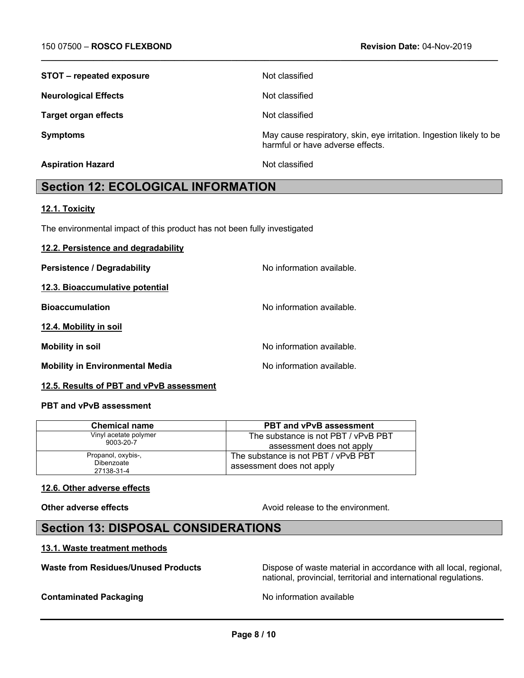| STOT – repeated exposure    | Not classified                                                                                          |
|-----------------------------|---------------------------------------------------------------------------------------------------------|
| <b>Neurological Effects</b> | Not classified                                                                                          |
| <b>Target organ effects</b> | Not classified                                                                                          |
| <b>Symptoms</b>             | May cause respiratory, skin, eye irritation. Ingestion likely to be<br>harmful or have adverse effects. |
| <b>Aspiration Hazard</b>    | Not classified                                                                                          |

**\_\_\_\_\_\_\_\_\_\_\_\_\_\_\_\_\_\_\_\_\_\_\_\_\_\_\_\_\_\_\_\_\_\_\_\_\_\_\_\_\_\_\_\_\_\_\_\_\_\_\_\_\_\_\_\_\_\_\_\_\_\_\_\_\_\_\_\_\_\_\_\_\_\_\_\_\_\_\_\_\_\_\_\_\_\_\_\_\_\_\_\_\_\_\_\_**

## **Section 12: ECOLOGICAL INFORMATION**

#### **12.1. Toxicity**

The environmental impact of this product has not been fully investigated

## **12.2. Persistence and degradability Persistence / Degradability No information available. 12.3. Bioaccumulative potential Bioaccumulation** No information available. **12.4. Mobility in soil Mobility in soil Mobility in soil** No information available. **Mobility in Environmental Media No information available.**

#### **12.5. Results of PBT and vPvB assessment**

#### **PBT and vPvB assessment**

| <b>Chemical name</b>                           | <b>PBT and vPvB assessment</b>                                   |
|------------------------------------------------|------------------------------------------------------------------|
| Vinyl acetate polymer                          | The substance is not PBT / vPvB PBT                              |
| 9003-20-7                                      | assessment does not apply                                        |
| Propanol, oxybis-,<br>Dibenzoate<br>27138-31-4 | The substance is not PBT / vPvB PBT<br>assessment does not apply |

#### **12.6. Other adverse effects**

**Other adverse effects** and the environment.

## **Section 13: DISPOSAL CONSIDERATIONS**

#### **13.1. Waste treatment methods**

Waste from Residues/Unused Products **Dispose of waste material in accordance with all local, regional,** national, provincial, territorial and international regulations.

#### **Contaminated Packaging Contaminated Packaging No information available**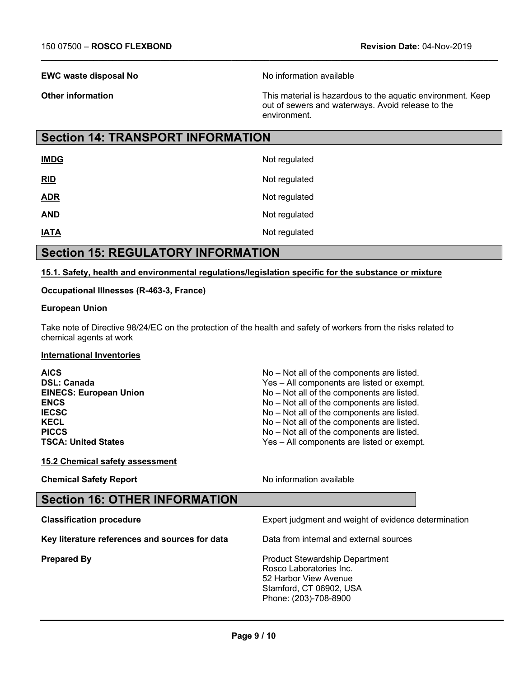#### **EWC waste disposal No** Noinformation available

**\_\_\_\_\_\_\_\_\_\_\_\_\_\_\_\_\_\_\_\_\_\_\_\_\_\_\_\_\_\_\_\_\_\_\_\_\_\_\_\_\_\_\_\_\_\_\_\_\_\_\_\_\_\_\_\_\_\_\_\_\_\_\_\_\_\_\_\_\_\_\_\_\_\_\_\_\_\_\_\_\_\_\_\_\_\_\_\_\_\_\_\_\_\_\_\_**

**Other information Conserverse Exercise 2 and This material is hazardous to the aquatic environment. Keep** out of sewers and waterways. Avoid release to the environment.

## **Section 14: TRANSPORT INFORMATION**

| <b>IMDG</b> | Not regulated |
|-------------|---------------|
| <u>RID</u>  | Not regulated |
| <b>ADR</b>  | Not regulated |
| <b>AND</b>  | Not regulated |
| <b>IATA</b> | Not regulated |

## **Section 15: REGULATORY INFORMATION**

#### **15.1. Safety, health and environmental regulations/legislation specific for the substance or mixture**

#### **Occupational Illnesses (R-463-3, France)**

#### **European Union**

Take note of Directive 98/24/EC on the protection of the health and safety of workers from the risks related to chemical agents at work

#### **International Inventories**

| <b>AICS</b>                   | No – Not all of the components are listed. |
|-------------------------------|--------------------------------------------|
| <b>DSL: Canada</b>            | Yes - All components are listed or exempt. |
| <b>EINECS: European Union</b> | No - Not all of the components are listed. |
| <b>ENCS</b>                   | No – Not all of the components are listed. |
| <b>IECSC</b>                  | No - Not all of the components are listed. |
| <b>KECL</b>                   | No - Not all of the components are listed. |
| <b>PICCS</b>                  | No - Not all of the components are listed. |
| <b>TSCA: United States</b>    | Yes - All components are listed or exempt. |
|                               |                                            |

#### **15.2 Chemical safety assessment**

**Chemical Safety Report** Noinformation available

| <b>Section 16: OTHER INFORMATION</b>           |                                                                  |
|------------------------------------------------|------------------------------------------------------------------|
| <b>Classification procedure</b>                | Expert judgment and weight of evidence determination             |
| Key literature references and sources for data | Data from internal and external sources                          |
| <b>Prepared By</b>                             | <b>Product Stewardship Department</b><br>Rosco Laboratories Inc. |

poratories Inc. 52 Harbor View Avenue Stamford, CT 06902, USA Phone: (203)-708-8900